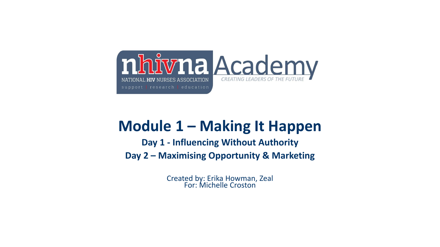

# **Module 1 – Making It Happen**

**Day 1 - Influencing Without Authority Day 2 – Maximising Opportunity & Marketing** 

> Created by: Erika Howman, Zeal For: Michelle Croston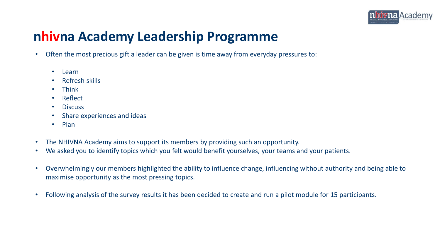

### **nhivna Academy Leadership Programme**

- Often the most precious gift a leader can be given is time away from everyday pressures to:
	- Learn
	- Refresh skills
	- Think
	- Reflect
	- Discuss
	- Share experiences and ideas
	- Plan
- The NHIVNA Academy aims to support its members by providing such an opportunity.
- We asked you to identify topics which you felt would benefit yourselves, your teams and your patients.
- Overwhelmingly our members highlighted the ability to influence change, influencing without authority and being able to maximise opportunity as the most pressing topics.
- Following analysis of the survey results it has been decided to create and run a pilot module for 15 participants.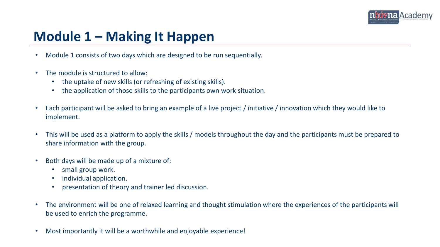

### **Module 1 – Making It Happen**

- Module 1 consists of two days which are designed to be run sequentially.
- The module is structured to allow:
	- the uptake of new skills (or refreshing of existing skills).
	- the application of those skills to the participants own work situation.
- Each participant will be asked to bring an example of a live project / initiative / innovation which they would like to implement.
- This will be used as a platform to apply the skills / models throughout the day and the participants must be prepared to share information with the group.
- Both days will be made up of a mixture of:
	- small group work.
	- individual application.
	- presentation of theory and trainer led discussion.
- The environment will be one of relaxed learning and thought stimulation where the experiences of the participants will be used to enrich the programme.
- Most importantly it will be a worthwhile and enjoyable experience!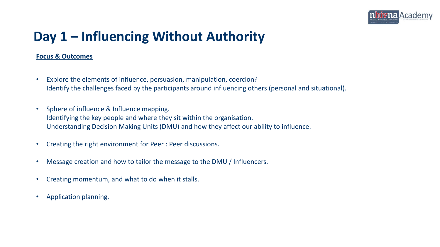

## **Day 1 – Influencing Without Authority**

#### **Focus & Outcomes**

- Explore the elements of influence, persuasion, manipulation, coercion? Identify the challenges faced by the participants around influencing others (personal and situational).
- Sphere of influence & Influence mapping. Identifying the key people and where they sit within the organisation. Understanding Decision Making Units (DMU) and how they affect our ability to influence.
- Creating the right environment for Peer : Peer discussions.
- Message creation and how to tailor the message to the DMU / Influencers.
- Creating momentum, and what to do when it stalls.
- Application planning.